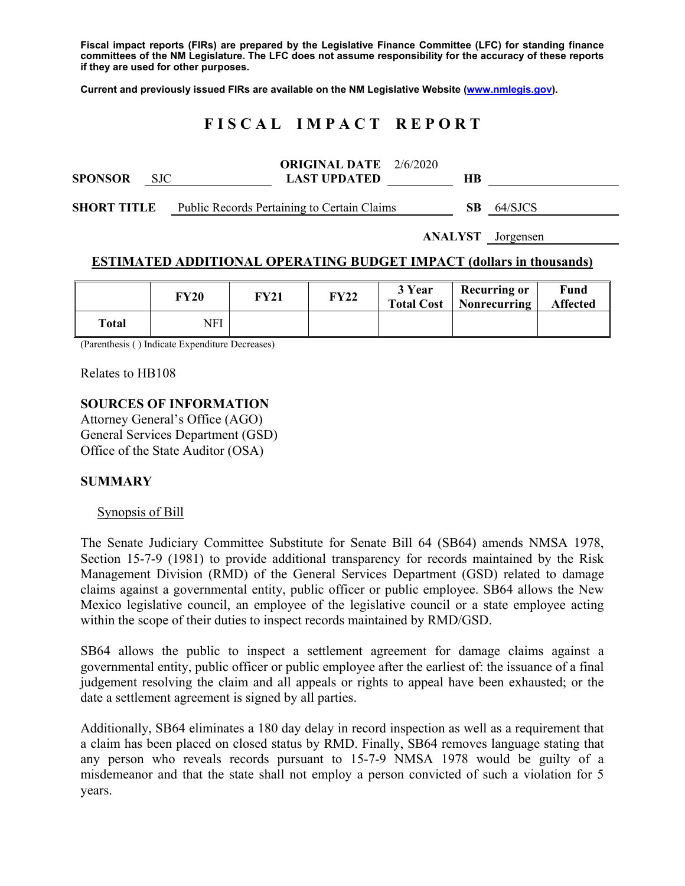**Fiscal impact reports (FIRs) are prepared by the Legislative Finance Committee (LFC) for standing finance committees of the NM Legislature. The LFC does not assume responsibility for the accuracy of these reports if they are used for other purposes.** 

**Current and previously issued FIRs are available on the NM Legislative Website (www.nmlegis.gov).** 

# **F I S C A L I M P A C T R E P O R T**

| <b>SPONSOR</b>     | <b>SJC</b> | <b>ORIGINAL DATE</b> $2/6/2020$<br><b>LAST UPDATED</b> | HВ  |         |
|--------------------|------------|--------------------------------------------------------|-----|---------|
| <b>SHORT TITLE</b> |            | Public Records Pertaining to Certain Claims            | SB. | 64/SJCS |

**ANALYST** Jorgensen

# **ESTIMATED ADDITIONAL OPERATING BUDGET IMPACT (dollars in thousands)**

|              | <b>FY20</b> | FY21 | <b>FY22</b> | 3 Year | <b>Recurring or</b><br><b>Total Cost</b>   Nonrecurring | Fund<br><b>Affected</b> |
|--------------|-------------|------|-------------|--------|---------------------------------------------------------|-------------------------|
| <b>Total</b> | NFI         |      |             |        |                                                         |                         |

(Parenthesis ( ) Indicate Expenditure Decreases)

Relates to HB108

## **SOURCES OF INFORMATION**

Attorney General's Office (AGO) General Services Department (GSD) Office of the State Auditor (OSA)

# **SUMMARY**

#### Synopsis of Bill

The Senate Judiciary Committee Substitute for Senate Bill 64 (SB64) amends NMSA 1978, Section 15-7-9 (1981) to provide additional transparency for records maintained by the Risk Management Division (RMD) of the General Services Department (GSD) related to damage claims against a governmental entity, public officer or public employee. SB64 allows the New Mexico legislative council, an employee of the legislative council or a state employee acting within the scope of their duties to inspect records maintained by RMD/GSD.

SB64 allows the public to inspect a settlement agreement for damage claims against a governmental entity, public officer or public employee after the earliest of: the issuance of a final judgement resolving the claim and all appeals or rights to appeal have been exhausted; or the date a settlement agreement is signed by all parties.

Additionally, SB64 eliminates a 180 day delay in record inspection as well as a requirement that a claim has been placed on closed status by RMD. Finally, SB64 removes language stating that any person who reveals records pursuant to 15-7-9 NMSA 1978 would be guilty of a misdemeanor and that the state shall not employ a person convicted of such a violation for 5 years.